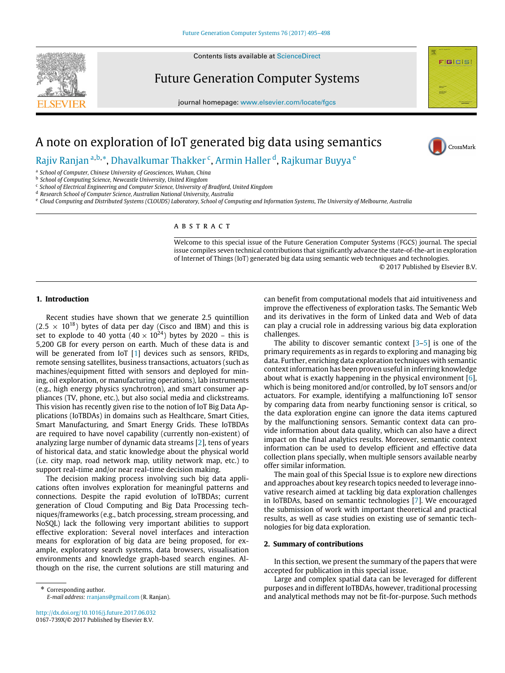

Contents lists available at [ScienceDirect](http://www.elsevier.com/locate/fgcs)

# Future Generation Computer Systems

journal homepage: [www.elsevier.com/locate/fgcs](http://www.elsevier.com/locate/fgcs)

# A note on exploration of IoT generated big data using semantics

[Rajiv](#page-2-0) [Ranjan](#page-2-0) <sup>[a,](#page-0-0)[b,](#page-0-1)</sup>[\\*](#page-0-2), [Dhavalkumar](#page-3-0) [Thakker](#page-3-0) <sup>[c](#page-0-3)</sup>, [Armin](#page-3-1) [Haller](#page-3-1) <sup>[d](#page-0-4)</sup>, [Rajkumar](#page-3-2) [Buyya](#page-3-2) <sup>[e](#page-0-5)</sup>

<span id="page-0-0"></span>a *School of Computer, Chinese University of Geosciences, Wuhan, China*

<span id="page-0-1"></span>b *School of Computing Science, Newcastle University, United Kingdom*

<span id="page-0-3"></span><sup>c</sup> School of Electrical Engineering and Computer Science, University of Bradford, United Kingdom

<span id="page-0-4"></span><sup>d</sup> *Research School of Computer Science, Australian National University, Australia*

<span id="page-0-5"></span><sup>e</sup> *Cloud Computing and Distributed Systems (CLOUDS) Laboratory, School of Computing and Information Systems, The University of Melbourne, Australia*

#### a b s t r a c t

Welcome to this special issue of the Future Generation Computer Systems (FGCS) journal. The special issue compiles seven technical contributions that significantly advance the state-of-the-art in exploration of Internet of Things (IoT) generated big data using semantic web techniques and technologies.

© 2017 Published by Elsevier B.V.

**FIGICIS** 

CrossMark

### **1. Introduction**

Recent studies have shown that we generate 2.5 quintillion  $(2.5 \times 10^{18})$  bytes of data per day (Cisco and IBM) and this is set to explode to 40 yotta  $(40 \times 10^{24})$  bytes by 2020 – this is 5,200 GB for every person on earth. Much of these data is and will be generated from IoT [\[1\]](#page-2-1) devices such as sensors, RFIDs, remote sensing satellites, business transactions, actuators (such as machines/equipment fitted with sensors and deployed for mining, oil exploration, or manufacturing operations), lab instruments (e.g., high energy physics synchrotron), and smart consumer appliances (TV, phone, etc.), but also social media and clickstreams. This vision has recently given rise to the notion of IoT Big Data Applications (IoTBDAs) in domains such as Healthcare, Smart Cities, Smart Manufacturing, and Smart Energy Grids. These IoTBDAs are required to have novel capability (currently non-existent) of analyzing large number of dynamic data streams [\[2\]](#page-2-2), tens of years of historical data, and static knowledge about the physical world (i.e. city map, road network map, utility network map, etc.) to support real-time and/or near real-time decision making.

The decision making process involving such big data applications often involves exploration for meaningful patterns and connections. Despite the rapid evolution of IoTBDAs; current generation of Cloud Computing and Big Data Processing techniques/frameworks (e.g., batch processing, stream processing, and NoSQL) lack the following very important abilities to support effective exploration: Several novel interfaces and interaction means for exploration of big data are being proposed, for example, exploratory search systems, data browsers, visualisation environments and knowledge graph-based search engines. Although on the rise, the current solutions are still maturing and

<span id="page-0-2"></span>\* Corresponding author. *E-mail address:* [rranjans@gmail.com](mailto:rranjans@gmail.com) (R. Ranjan).

<http://dx.doi.org/10.1016/j.future.2017.06.032> 0167-739X/© 2017 Published by Elsevier B.V.

can benefit from computational models that aid intuitiveness and improve the effectiveness of exploration tasks. The Semantic Web and its derivatives in the form of Linked data and Web of data can play a crucial role in addressing various big data exploration challenges.

The ability to discover semantic context  $[3-5]$  $[3-5]$  is one of the primary requirements as in regards to exploring and managing big data. Further, enriching data exploration techniques with semantic context information has been proven useful in inferring knowledge about what is exactly happening in the physical environment [\[6\]](#page-2-5), which is being monitored and/or controlled, by IoT sensors and/or actuators. For example, identifying a malfunctioning IoT sensor by comparing data from nearby functioning sensor is critical, so the data exploration engine can ignore the data items captured by the malfunctioning sensors. Semantic context data can provide information about data quality, which can also have a direct impact on the final analytics results. Moreover, semantic context information can be used to develop efficient and effective data collection plans specially, when multiple sensors available nearby offer similar information.

The main goal of this Special Issue is to explore new directions and approaches about key research topics needed to leverage innovative research aimed at tackling big data exploration challenges in IoTBDAs, based on semantic technologies [\[7\]](#page-2-6). We encouraged the submission of work with important theoretical and practical results, as well as case studies on existing use of semantic technologies for big data exploration.

## **2. Summary of contributions**

In this section, we present the summary of the papers that were accepted for publication in this special issue.

Large and complex spatial data can be leveraged for different purposes and in different IoTBDAs, however, traditional processing and analytical methods may not be fit-for-purpose. Such methods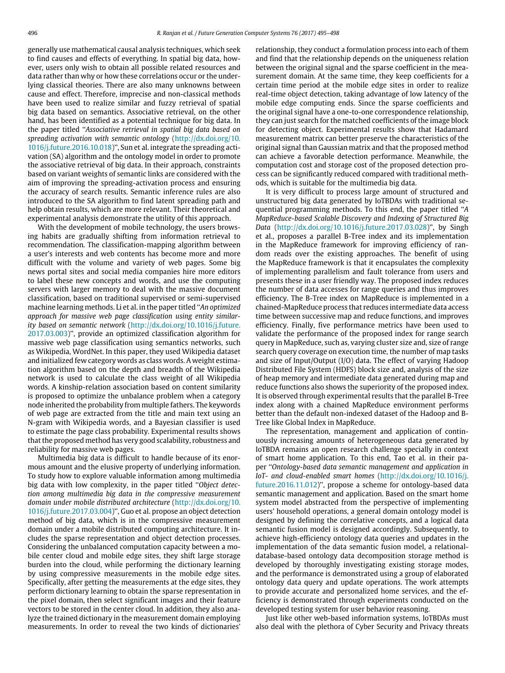generally use mathematical causal analysis techniques, which seek to find causes and effects of everything. In spatial big data, however, users only wish to obtain all possible related resources and data rather than why or how these correlations occur or the underlying classical theories. There are also many unknowns between cause and effect. Therefore, imprecise and non-classical methods have been used to realize similar and fuzzy retrieval of spatial big data based on semantics. Associative retrieval, on the other hand, has been identified as a potential technique for big data. In the paper titled ''*Associative retrieval in spatial big data based on [s](http://dx.doi.org/10.1016/j.future.2016.10.018)preading activation with semantic ontology* [\(http://dx.doi.org/10.](http://dx.doi.org/10.1016/j.future.2016.10.018) [1016/j.future.2016.10.018\)](http://dx.doi.org/10.1016/j.future.2016.10.018)'', Sun et al. integrate the spreading activation (SA) algorithm and the ontology model in order to promote the associative retrieval of big data. In their approach, constraints based on variant weights of semantic links are considered with the aim of improving the spreading-activation process and ensuring the accuracy of search results. Semantic inference rules are also introduced to the SA algorithm to find latent spreading path and help obtain results, which are more relevant. Their theoretical and experimental analysis demonstrate the utility of this approach.

With the development of mobile technology, the users browsing habits are gradually shifting from information retrieval to recommendation. The classification-mapping algorithm between a user's interests and web contents has become more and more difficult with the volume and variety of web pages. Some big news portal sites and social media companies hire more editors to label these new concepts and words, and use the computing servers with larger memory to deal with the massive document classification, based on traditional supervised or semi-supervised machine learning methods. Li et al. in the paper titled ''*An optimized approach for massive web page classification using entity similar[i](http://dx.doi.org/10.1016/j.future.2017.03.003)ty based on semantic network* [\(http://dx.doi.org/10.1016/j.future.](http://dx.doi.org/10.1016/j.future.2017.03.003) [2017.03.003\)](http://dx.doi.org/10.1016/j.future.2017.03.003)'', provide an optimized classification algorithm for massive web page classification using semantics networks, such as Wikipedia, WordNet. In this paper, they used Wikipedia dataset and initialized few category words as class words. A weight estimation algorithm based on the depth and breadth of the Wikipedia network is used to calculate the class weight of all Wikipedia words. A kinship-relation association based on content similarity is proposed to optimize the unbalance problem when a category node inherited the probability from multiple fathers. The keywords of web page are extracted from the title and main text using an N-gram with Wikipedia words, and a Bayesian classifier is used to estimate the page class probability. Experimental results shows that the proposed method has very good scalability, robustness and reliability for massive web pages.

Multimedia big data is difficult to handle because of its enormous amount and the elusive property of underlying information. To study how to explore valuable information among multimedia big data with low complexity, in the paper titled ''*Object detection among multimedia big data in the compressive measurement [d](http://dx.doi.org/10.1016/j.future.2017.03.004)omain under mobile distributed architecture* [\(http://dx.doi.org/10.](http://dx.doi.org/10.1016/j.future.2017.03.004) [1016/j.future.2017.03.004\)](http://dx.doi.org/10.1016/j.future.2017.03.004)'', Guo et al. propose an object detection method of big data, which is in the compressive measurement domain under a mobile distributed computing architecture. It includes the sparse representation and object detection processes. Considering the unbalanced computation capacity between a mobile center cloud and mobile edge sites, they shift large storage burden into the cloud, while performing the dictionary learning by using compressive measurements in the mobile edge sites. Specifically, after getting the measurements at the edge sites, they perform dictionary learning to obtain the sparse representation in the pixel domain, then select significant images and their feature vectors to be stored in the center cloud. In addition, they also analyze the trained dictionary in the measurement domain employing measurements. In order to reveal the two kinds of dictionaries'

relationship, they conduct a formulation process into each of them and find that the relationship depends on the uniqueness relation between the original signal and the sparse coefficient in the measurement domain. At the same time, they keep coefficients for a certain time period at the mobile edge sites in order to realize real-time object detection, taking advantage of low latency of the mobile edge computing ends. Since the sparse coefficients and the original signal have a one-to-one correspondence relationship, they can just search for the matched coefficients of the image block for detecting object. Experimental results show that Hadamard measurement matrix can better preserve the characteristics of the original signal than Gaussian matrix and that the proposed method can achieve a favorable detection performance. Meanwhile, the computation cost and storage cost of the proposed detection process can be significantly reduced compared with traditional methods, which is suitable for the multimedia big data.

It is very difficult to process large amount of structured and unstructured big data generated by IoTBDAs with traditional sequential programming methods. To this end, the paper titled ''*A MapReduce-based Scalable Discovery and Indexing of Structured Big Data* [\(http://dx.doi.org/10.1016/j.future.2017.03.028\)](http://dx.doi.org/10.1016/j.future.2017.03.028)'', by Singh et al., proposes a parallel B-Tree index and its implementation in the MapReduce framework for improving efficiency of random reads over the existing approaches. The benefit of using the MapReduce framework is that it encapsulates the complexity of implementing parallelism and fault tolerance from users and presents these in a user friendly way. The proposed index reduces the number of data accesses for range queries and thus improves efficiency. The B-Tree index on MapReduce is implemented in a chained-MapReduce process that reduces intermediate data access time between successive map and reduce functions, and improves efficiency. Finally, five performance metrics have been used to validate the performance of the proposed index for range search query in MapReduce, such as, varying cluster size and, size of range search query coverage on execution time, the number of map tasks and size of Input/Output (I/O) data. The effect of varying Hadoop Distributed File System (HDFS) block size and, analysis of the size of heap memory and intermediate data generated during map and reduce functions also shows the superiority of the proposed index. It is observed through experimental results that the parallel B-Tree index along with a chained MapReduce environment performs better than the default non-indexed dataset of the Hadoop and B-Tree like Global Index in MapReduce.

The representation, management and application of continuously increasing amounts of heterogeneous data generated by IoTBDA remains an open research challenge specially in context of smart home application. To this end, Tao et al. in their paper ''*Ontology-based data semantic management and application in [I](http://dx.doi.org/10.1016/j.future.2016.11.012)oT- and cloud-enabled smart homes* [\(http://dx.doi.org/10.1016/j.](http://dx.doi.org/10.1016/j.future.2016.11.012) [future.2016.11.012\)](http://dx.doi.org/10.1016/j.future.2016.11.012)'', propose a scheme for ontology-based data semantic management and application. Based on the smart home system model abstracted from the perspective of implementing users' household operations, a general domain ontology model is designed by defining the correlative concepts, and a logical data semantic fusion model is designed accordingly. Subsequently, to achieve high-efficiency ontology data queries and updates in the implementation of the data semantic fusion model, a relationaldatabase-based ontology data decomposition storage method is developed by thoroughly investigating existing storage modes, and the performance is demonstrated using a group of elaborated ontology data query and update operations. The work attempts to provide accurate and personalized home services, and the efficiency is demonstrated through experiments conducted on the developed testing system for user behavior reasoning.

Just like other web-based information systems, IoTBDAs must also deal with the plethora of Cyber Security and Privacy threats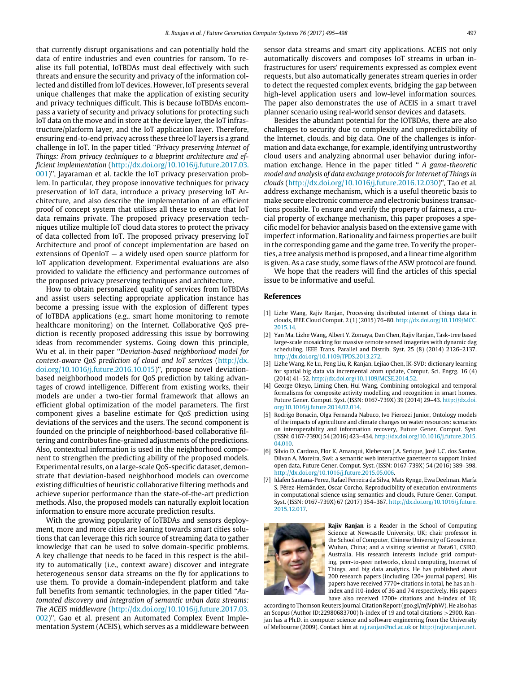that currently disrupt organisations and can potentially hold the data of entire industries and even countries for ransom. To realise its full potential, IoTBDAs must deal effectively with such threats and ensure the security and privacy of the information collected and distilled from IoT devices. However, IoT presents several unique challenges that make the application of existing security and privacy techniques difficult. This is because IoTBDAs encompass a variety of security and privacy solutions for protecting such IoT data on the move and in store at the device layer, the IoT infrastructure/platform layer, and the IoT application layer. Therefore, ensuring end-to-end privacy across these three IoT layers is a grand challenge in IoT. In the paper titled ''*Privacy preserving Internet of Things: From privacy techniques to a blueprint architecture and ef[f](http://dx.doi.org/10.1016/j.future.2017.03.001)icient implementation* [\(http://dx.doi.org/10.1016/j.future.2017.03.](http://dx.doi.org/10.1016/j.future.2017.03.001) [001\)](http://dx.doi.org/10.1016/j.future.2017.03.001)'', Jayaraman et al. tackle the IoT privacy preservation problem. In particular, they propose innovative techniques for privacy preservation of IoT data, introduce a privacy preserving IoT Architecture, and also describe the implementation of an efficient proof of concept system that utilises all these to ensure that IoT data remains private. The proposed privacy preservation techniques utilize multiple IoT cloud data stores to protect the privacy of data collected from IoT. The proposed privacy preserving IoT Architecture and proof of concept implementation are based on extensions of OpenIoT — a widely used open source platform for IoT application development. Experimental evaluations are also provided to validate the efficiency and performance outcomes of the proposed privacy preserving techniques and architecture.

How to obtain personalized quality of services from IoTBDAs and assist users selecting appropriate application instance has become a pressing issue with the explosion of different types of IoTBDA applications (e.g., smart home monitoring to remote healthcare monitoring) on the Internet. Collaborative QoS prediction is recently proposed addressing this issue by borrowing ideas from recommender systems. Going down this principle, Wu et al. in their paper ''*Deviation-based neighborhood model for [c](http://dx.doi.org/10.1016/j.future.2016.10.015)ontext-aware QoS prediction of cloud and IoT services* [\(http://dx.](http://dx.doi.org/10.1016/j.future.2016.10.015) [doi.org/10.1016/j.future.2016.10.015\)](http://dx.doi.org/10.1016/j.future.2016.10.015)'', propose novel deviationbased neighborhood models for QoS prediction by taking advantages of crowd intelligence. Different from existing works, their models are under a two-tier formal framework that allows an efficient global optimization of the model parameters. The first component gives a baseline estimate for QoS prediction using deviations of the services and the users. The second component is founded on the principle of neighborhood-based collaborative filtering and contributes fine-grained adjustments of the predictions. Also, contextual information is used in the neighborhood component to strengthen the predicting ability of the proposed models. Experimental results, on a large-scale QoS-specific dataset, demonstrate that deviation-based neighborhood models can overcome existing difficulties of heuristic collaborative filtering methods and achieve superior performance than the state-of-the-art prediction methods. Also, the proposed models can naturally exploit location information to ensure more accurate prediction results.

With the growing popularity of IoTBDAs and sensors deployment, more and more cities are leaning towards smart cities solutions that can leverage this rich source of streaming data to gather knowledge that can be used to solve domain-specific problems. A key challenge that needs to be faced in this respect is the ability to automatically (i.e., context aware) discover and integrate heterogeneous sensor data streams on the fly for applications to use them. To provide a domain-independent platform and take full benefits from semantic technologies, in the paper titled ''*Automated discovery and integration of semantic urban data streams: [T](http://dx.doi.org/10.1016/j.future.2017.03.002)he ACEIS middleware* [\(http://dx.doi.org/10.1016/j.future.2017.03.](http://dx.doi.org/10.1016/j.future.2017.03.002) [002\)](http://dx.doi.org/10.1016/j.future.2017.03.002)'', Gao et al. present an Automated Complex Event Implementation System (ACEIS), which serves as a middleware between sensor data streams and smart city applications. ACEIS not only automatically discovers and composes IoT streams in urban infrastructures for users' requirements expressed as complex event requests, but also automatically generates stream queries in order to detect the requested complex events, bridging the gap between high-level application users and low-level information sources. The paper also demonstrates the use of ACEIS in a smart travel planner scenario using real-world sensor devices and datasets.

Besides the abundant potential for the IOTBDAs, there are also challenges to security due to complexity and unpredictability of the Internet, clouds, and big data. One of the challenges is information and data exchange, for example, identifying untrustworthy cloud users and analyzing abnormal user behavior during information exchange. Hence in the paper titled '' *A game-theoretic model and analysis of data exchange protocols for Internet of Things in clouds* [\(http://dx.doi.org/10.1016/j.future.2016.12.030\)](http://dx.doi.org/10.1016/j.future.2016.12.030)'', Tao et al. address exchange mechanism, which is a useful theoretic basis to make secure electronic commerce and electronic business transactions possible. To ensure and verify the property of fairness, a crucial property of exchange mechanism, this paper proposes a specific model for behavior analysis based on the extensive game with imperfect information. Rationality and fairness properties are built in the corresponding game and the game tree. To verify the properties, a tree analysis method is proposed, and a linear time algorithm is given. As a case study, some flaws of the ASW protocol are found.

We hope that the readers will find the articles of this special issue to be informative and useful.

#### **References**

- <span id="page-2-1"></span>[1] Lizhe Wang, Rajiv Ranjan, Processing distributed internet of things data in clouds, IEEE Cloud Comput. 2 (1) (2015) 76–80. [http://dx.doi.org/10.1109/MCC.](http://dx.doi.org/10.1109/MCC.2015.14) [2015.14.](http://dx.doi.org/10.1109/MCC.2015.14)
- <span id="page-2-2"></span>[2] Yan Ma, Lizhe Wang, Albert Y. Zomaya, Dan Chen, Rajiv Ranjan, Task-tree based large-scale mosaicking for massive remote sensed imageries with dynamic dag scheduling, IEEE Trans. Parallel and Distrib. Syst. 25 (8) (2014) 2126–2137. [http://dx.doi.org/10.1109/TPDS.2013.272.](http://dx.doi.org/10.1109/TPDS.2013.272)
- <span id="page-2-3"></span>[3] Lizhe Wang, Ke Lu, Peng Liu, R. Ranjan, Lejiao Chen, IK-SVD: dictionary learning for spatial big data via incremental atom update, Comput. Sci. Engrg. 16 (4) (2014) 41–52. [http://dx.doi.org/10.1109/MCSE.2014.52.](http://dx.doi.org/10.1109/MCSE.2014.52)
- [4] George Okeyo, Liming Chen, Hui Wang, Combining ontological and temporal formalisms for composite activity modelling and recognition in smart homes, Future Gener. Comput. Syst. (ISSN: 0167-739X) 39 (2014) 29–43. [http://dx.doi.](http://dx.doi.org/10.1016/j.future.2014.02.014) [org/10.1016/j.future.2014.02.014.](http://dx.doi.org/10.1016/j.future.2014.02.014)
- <span id="page-2-4"></span>[5] Rodrigo Bonacin, Olga Fernanda Nabuco, Ivo Pierozzi Junior, Ontology models of the impacts of agriculture and climate changes on water resources: scenarios on interoperability and information recovery, Future Gener. Comput. Syst. (ISSN: 0167-739X) 54 (2016) 423–434. [http://dx.doi.org/10.1016/j.future.2015.](http://dx.doi.org/10.1016/j.future.2015.04.010) [04.010.](http://dx.doi.org/10.1016/j.future.2015.04.010)
- <span id="page-2-5"></span>[6] Silvio D. Cardoso, Flor K. Amanqui, Kleberson J.A. Serique, José L.C. dos Santos, Dilvan A. Moreira, Swi: a semantic web interactive gazetteer to support linked open data, Future Gener. Comput. Syst. (ISSN: 0167-739X) 54 (2016) 389–398. [http://dx.doi.org/10.1016/j.future.2015.05.006.](http://dx.doi.org/10.1016/j.future.2015.05.006)
- <span id="page-2-6"></span>[7] Idafen Santana-Perez, Rafael Ferreira da Silva, Mats Rynge, Ewa Deelman, María S. Pérez-Hernández, Oscar Corcho, Reproducibility of execution environments in computational science using semantics and clouds, Future Gener. Comput. Syst. (ISSN: 0167-739X) 67 (2017) 354–367. [http://dx.doi.org/10.1016/j.future.](http://dx.doi.org/10.1016/j.future.2015.12.017) [2015.12.017.](http://dx.doi.org/10.1016/j.future.2015.12.017)

<span id="page-2-0"></span>

**Rajiv Ranjan** is a Reader in the School of Computing Science at Newcastle University, UK; chair professor in the School of Computer, Chinese University of Geoscience, Wuhan, China; and a visiting scientist at Data61, CSIRO, Australia. His research interests include grid computing, peer-to-peer networks, cloud computing, Internet of Things, and big data analytics. He has published about 200 research papers (including 120+ journal papers). His papers have received 7770+ citations in total, he has an hindex and i10-index of 36 and 74 respectively. His papers have also received 1700+ citations and h-index of 16;

according to Thomson Reuters Journal Citation Report (goo.gl/mJVphW). He also has an Scopus (Author ID:22980683700) h-index of 19 and total citations >2900. Ranjan has a Ph.D. in computer science and software engineering from the University of Melbourne (2009). Contact him at [raj.ranjan@ncl.ac.uk](mailto:raj.ranjan@ncl.ac.uk) or [http://rajivranjan.net.](http://rajivranjan.net)